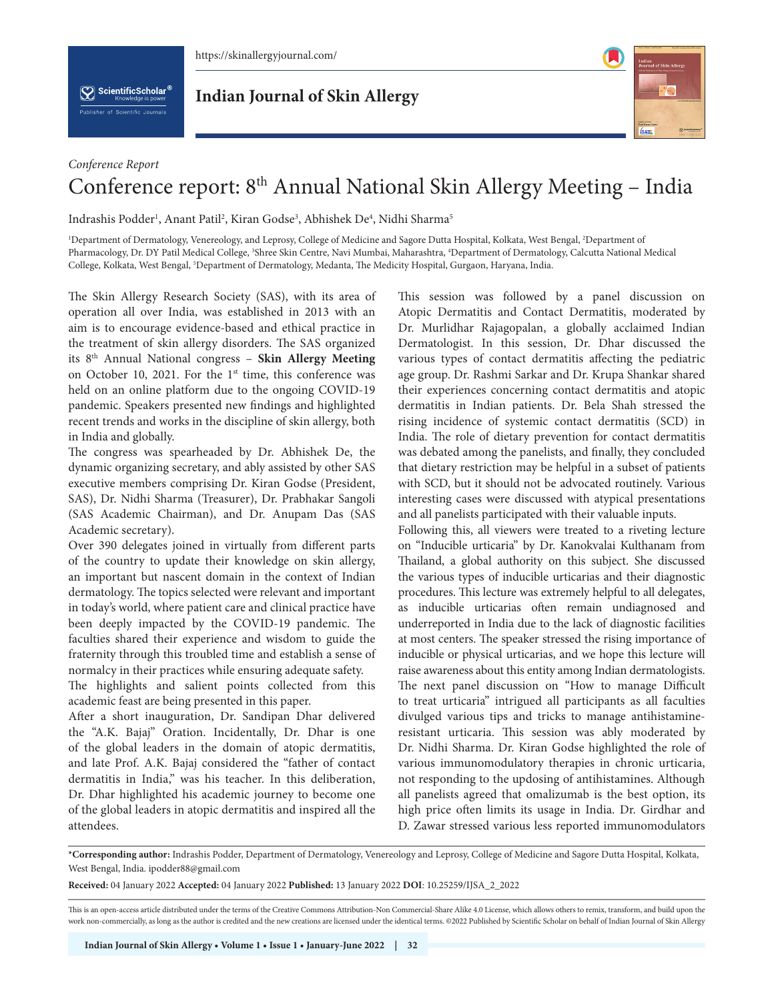

 $\left[\bigvee_{k}\right]$  ScientificScholar<sup>®</sup>

**Indian Journal of Skin Allergy**



## *Conference Report* Conference report: 8<sup>th</sup> Annual National Skin Allergy Meeting - India

Indrashis Podder<sup>1</sup>, Anant Patil<sup>2</sup>, Kiran Godse<sup>3</sup>, Abhishek De<sup>4</sup>, Nidhi Sharma<sup>5</sup>

<sup>1</sup>Department of Dermatology, Venereology, and Leprosy, College of Medicine and Sagore Dutta Hospital, Kolkata, West Bengal, <sup>2</sup>Department of Pharmacology, Dr. DY Patil Medical College, <sup>3</sup>Shree Skin Centre, Navi Mumbai, Maharashtra, <sup>4</sup>Department of Dermatology, Calcutta National Medical College, Kolkata, West Bengal, <sup>5</sup>Department of Dermatology, Medanta, The Medicity Hospital, Gurgaon, Haryana, India.

The Skin Allergy Research Society (SAS), with its area of operation all over India, was established in 2013 with an aim is to encourage evidence-based and ethical practice in the treatment of skin allergy disorders. The SAS organized its 8th Annual National congress – **Skin Allergy Meeting** on October 10, 2021. For the 1<sup>st</sup> time, this conference was held on an online platform due to the ongoing COVID-19 pandemic. Speakers presented new findings and highlighted recent trends and works in the discipline of skin allergy, both in India and globally.

The congress was spearheaded by Dr. Abhishek De, the dynamic organizing secretary, and ably assisted by other SAS executive members comprising Dr. Kiran Godse (President, SAS), Dr. Nidhi Sharma (Treasurer), Dr. Prabhakar Sangoli (SAS Academic Chairman), and Dr. Anupam Das (SAS Academic secretary).

Over 390 delegates joined in virtually from different parts of the country to update their knowledge on skin allergy, an important but nascent domain in the context of Indian dermatology. The topics selected were relevant and important in today's world, where patient care and clinical practice have been deeply impacted by the COVID-19 pandemic. The faculties shared their experience and wisdom to guide the fraternity through this troubled time and establish a sense of normalcy in their practices while ensuring adequate safety.

The highlights and salient points collected from this academic feast are being presented in this paper.

After a short inauguration, Dr. Sandipan Dhar delivered the "A.K. Bajaj" Oration. Incidentally, Dr. Dhar is one of the global leaders in the domain of atopic dermatitis, and late Prof. A.K. Bajaj considered the "father of contact dermatitis in India," was his teacher. In this deliberation, Dr. Dhar highlighted his academic journey to become one of the global leaders in atopic dermatitis and inspired all the attendees.

This session was followed by a panel discussion on Atopic Dermatitis and Contact Dermatitis, moderated by Dr. Murlidhar Rajagopalan, a globally acclaimed Indian Dermatologist. In this session, Dr. Dhar discussed the various types of contact dermatitis affecting the pediatric age group. Dr. Rashmi Sarkar and Dr. Krupa Shankar shared their experiences concerning contact dermatitis and atopic dermatitis in Indian patients. Dr. Bela Shah stressed the rising incidence of systemic contact dermatitis (SCD) in India. The role of dietary prevention for contact dermatitis was debated among the panelists, and finally, they concluded that dietary restriction may be helpful in a subset of patients with SCD, but it should not be advocated routinely. Various interesting cases were discussed with atypical presentations and all panelists participated with their valuable inputs.

Following this, all viewers were treated to a riveting lecture on "Inducible urticaria" by Dr. Kanokvalai Kulthanam from Thailand, a global authority on this subject. She discussed the various types of inducible urticarias and their diagnostic procedures. This lecture was extremely helpful to all delegates, as inducible urticarias often remain undiagnosed and underreported in India due to the lack of diagnostic facilities at most centers. The speaker stressed the rising importance of inducible or physical urticarias, and we hope this lecture will raise awareness about this entity among Indian dermatologists. The next panel discussion on "How to manage Difficult to treat urticaria" intrigued all participants as all faculties divulged various tips and tricks to manage antihistamineresistant urticaria. This session was ably moderated by Dr. Nidhi Sharma. Dr. Kiran Godse highlighted the role of various immunomodulatory therapies in chronic urticaria, not responding to the updosing of antihistamines. Although all panelists agreed that omalizumab is the best option, its high price often limits its usage in India. Dr. Girdhar and D. Zawar stressed various less reported immunomodulators

**\*Corresponding author:** Indrashis Podder, Department of Dermatology, Venereology and Leprosy, College of Medicine and Sagore Dutta Hospital, Kolkata, West Bengal, India. ipodder88@gmail.com

**Received:** 04 January 2022 **Accepted:** 04 January 2022 **Published:** 13 January 2022 **DOI**[: 10.25259/IJSA\\_2\\_2022](https://dx.doi.org/10.25259/IJSA_2_2022)

This is an open-access article distributed under the terms of the Creative Commons Attribution-Non Commercial-Share Alike 4.0 License, which allows others to remix, transform, and build upon the work non-commercially, as long as the author is credited and the new creations are licensed under the identical terms. ©2022 Published by Scientific Scholar on behalf of Indian Journal of Skin Allergy